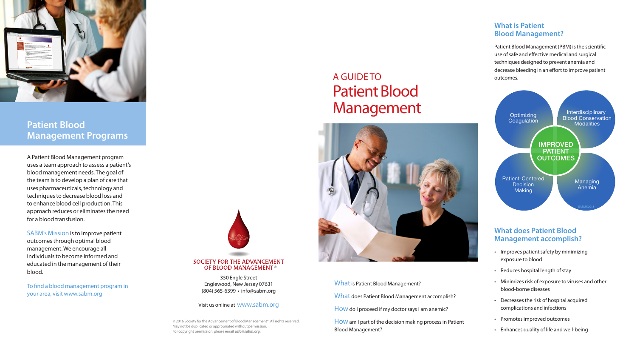

### **Patient Blood Management Programs**

A Patient Blood Management program uses a team approach to assess a patient's blood management needs. The goal of the team is to develop a plan of care that uses pharmaceuticals, technology and techniques to decrease blood loss and to enhance blood cell production. This approach reduces or eliminates the need for a blood transfusion.

SABM's Mission is to improve patient outcomes through optimal blood management. We encourage all individuals to become informed and educated in the management of their blood.

> How am I part of the decision making process in Patient Blood Management?

To find a blood management program in your area, visit www.sabm.org

# **SOCIETY FOR THE ADVANCEMENT** OF BLOOD MANAGEMENT<sup>®</sup>

#### Visit us online at www.sabm.org

350 Engle Street Englewood, New Jersey 07631 (804) 565-6399 • info@sabm.org

# A GUIDE TO Patient Blood Management



What is Patient Blood Management?

What does Patient Blood Management accomplish?

How do I proceed if my doctor says I am anemic?

© 2016 Society for the Advancement of Blood Management®. All rights reserved. May not be duplicated or appropriated without permission. For copyright permission, please email *info@sabm.org*.

#### **What does Patient Blood Management accomplish?**

- Improves patient safety by minimizing exposure to blood
- Reduces hospital length of stay
- Minimizes risk of exposure to viruses and other blood-borne diseases
- Decreases the risk of hospital acquired complications and infections
- Promotes improved outcomes
- Enhances quality of life and well-being

#### **What is Patient Blood Management?**

Patient Blood Management (PBM) is the scientific use of safe and effective medical and surgical techniques designed to prevent anemia and decrease bleeding in an effort to improve patient outcomes.